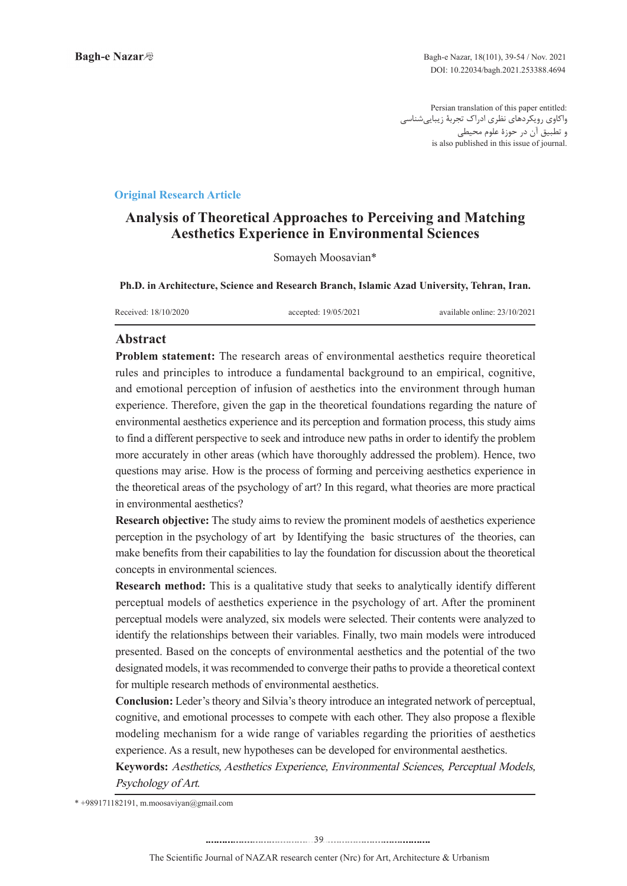Persian translation of this paper entitled: واکاوی رویکردهای نظری ادراک تجربۀ زیباییشناسی و تطبیق آن در حوزۀ علوم محیطی is also published in this issue of journal.

### **Article Research Article**

# **Analysis of Theoretical Approaches to Perceiving and Matching Aesthetics Experience in Environmental Sciences**

Somayeh Moosavian\*

Ph.D. in Architecture, Science and Research Branch, Islamic Azad University, Tehran, Iran.

Received: 18/10/2020 ceepted: 19/05/2021 available online: 23/10/2021

# **Abstract**

**Problem statement:** The research areas of environmental aesthetics require theoretical rules and principles to introduce a fundamental background to an empirical, cognitive, and emotional perception of infusion of aesthetics into the environment through human experience. Therefore, given the gap in the theoretical foundations regarding the nature of environmental aesthetics experience and its perception and formation process, this study aims to find a different perspective to seek and introduce new paths in order to identify the problem more accurately in other areas (which have thoroughly addressed the problem). Hence, two questions may arise. How is the process of forming and perceiving aesthetics experience in the theoretical areas of the psychology of art? In this regard, what theories are more practical in environmental aesthetics?

**Research objective:** The study aims to review the prominent models of aesthetics experience perception in the psychology of art by Identifying the basic structures of the theories, can make benefits from their capabilities to lay the foundation for discussion about the theoretical concepts in environmental sciences.

**Research method:** This is a qualitative study that seeks to analytically identify different perceptual models of aesthetics experience in the psychology of art. After the prominent perceptual models were analyzed, six models were selected. Their contents were analyzed to identify the relationships between their variables. Finally, two main models were introduced presented. Based on the concepts of environmental aesthetics and the potential of the two designated models, it was recommended to converge their paths to provide a theoretical context for multiple research methods of environmental aesthetics.

Conclusion: Leder's theory and Silvia's theory introduce an integrated network of perceptual, cognitive, and emotional processes to compete with each other. They also propose a flexible modeling mechanism for a wide range of variables regarding the priorities of aesthetics experience. As a result, new hypotheses can be developed for environmental aesthetics.

Keywords: Aesthetics, Aesthetics Experience, Environmental Sciences, Perceptual Models, Psychology of Art.

 $* +989171182191$ , m.moosaviyan@gmail.com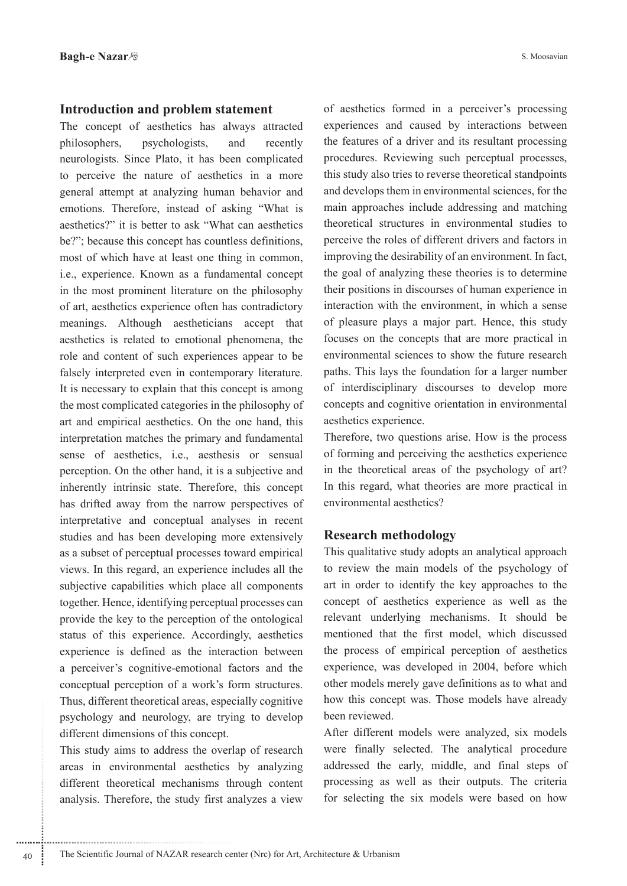### **Introduction and problem statement**

The concept of aesthetics has always attracted philosophers, psychologists, and recently neurologists. Since Plato, it has been complicated to perceive the nature of aesthetics in a more general attempt at analyzing human behavior and emotions. Therefore, instead of asking "What is aesthetics?" it is better to ask "What can aesthetics be?"; because this concept has countless definitions, most of which have at least one thing in common, i.e., experience. Known as a fundamental concept in the most prominent literature on the philosophy of art, aesthetics experience often has contradictory meanings. Although aestheticians accept that aesthetics is related to emotional phenomena, the role and content of such experiences appear to be falsely interpreted even in contemporary literature. It is necessary to explain that this concept is among the most complicated categories in the philosophy of art and empirical aesthetics. On the one hand, this interpretation matches the primary and fundamental sense of aesthetics, i.e., aesthesis or sensual perception. On the other hand, it is a subjective and inherently intrinsic state. Therefore, this concept has drifted away from the narrow perspectives of interpretative and conceptual analyses in recent studies and has been developing more extensively as a subset of perceptual processes toward empirical views. In this regard, an experience includes all the subjective capabilities which place all components together. Hence, identifying perceptual processes can provide the key to the perception of the ontological status of this experience. Accordingly, aesthetics experience is defined as the interaction between a perceiver's cognitive-emotional factors and the conceptual perception of a work's form structures. Thus, different theoretical areas, especially cognitive psychology and neurology, are trying to develop different dimensions of this concept.

This study aims to address the overlap of research areas in environmental aesthetics by analyzing different theoretical mechanisms through content analysis. Therefore, the study first analyzes a view of aesthetics formed in a perceiver's processing experiences and caused by interactions between the features of a driver and its resultant processing procedures. Reviewing such perceptual processes, this study also tries to reverse theoretical standpoints and develops them in environmental sciences, for the main approaches include addressing and matching theoretical structures in environmental studies to perceive the roles of different drivers and factors in improving the desirability of an environment. In fact, the goal of analyzing these theories is to determine their positions in discourses of human experience in interaction with the environment, in which a sense of pleasure plays a major part. Hence, this study focuses on the concepts that are more practical in environmental sciences to show the future research paths. This lays the foundation for a larger number of interdisciplinary discourses to develop more concepts and cognitive orientation in environmental aesthetics experience.

Therefore, two questions arise. How is the process of forming and perceiving the aesthetics experience in the theoretical areas of the psychology of art? In this regard, what theories are more practical in environmental aesthetics?

## **Research methodology**

This qualitative study adopts an analytical approach to review the main models of the psychology of art in order to identify the key approaches to the concept of aesthetics experience as well as the relevant underlying mechanisms. It should be mentioned that the first model, which discussed the process of empirical perception of aesthetics experience, was developed in 2004, before which other models merely gave definitions as to what and how this concept was. Those models have already been reviewed.

After different models were analyzed, six models were finally selected. The analytical procedure addressed the early, middle, and final steps of processing as well as their outputs. The criteria for selecting the six models were based on how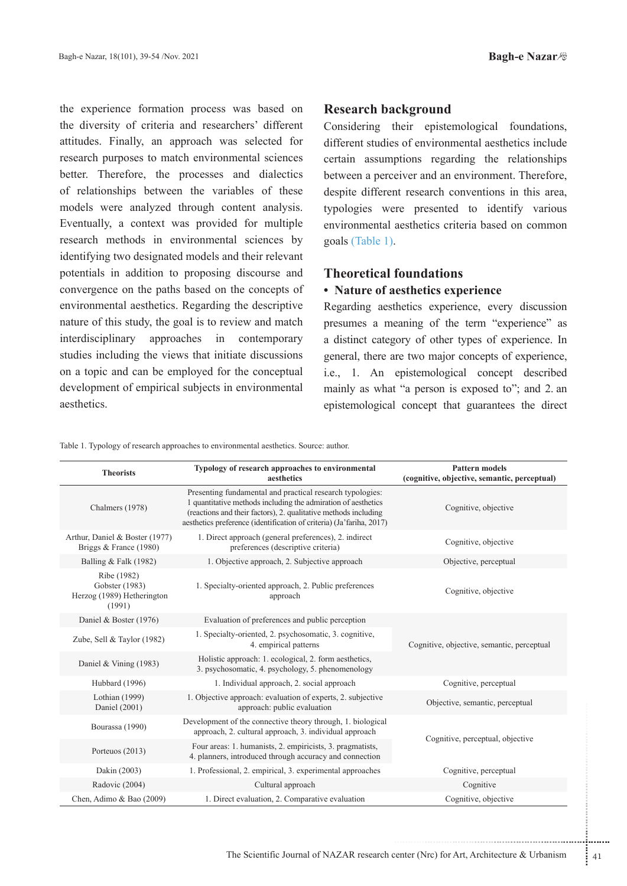the experience formation process was based on the diversity of criteria and researchers' different attitudes. Finally, an approach was selected for research purposes to match environmental sciences better. Therefore, the processes and dialectics of relationships between the variables of these models were analyzed through content analysis. Eventually, a context was provided for multiple research methods in environmental sciences by identifying two designated models and their relevant potentials in addition to proposing discourse and convergence on the paths based on the concepts of environmental aesthetics. Regarding the descriptive nature of this study, the goal is to review and match interdisciplinary approaches in contemporary studies including the views that initiate discussions on a topic and can be employed for the conceptual development of empirical subjects in environmental aesthetics.

### **Research background**

Considering their epistemological foundations, different studies of environmental aesthetics include certain assumptions regarding the relationships between a perceiver and an environment. Therefore, despite different research conventions in this area, typologies were presented to identify various environmental aesthetics criteria based on common goals (Table 1).

# **Theoretical foundations**

### • Nature of aesthetics experience

Regarding aesthetics experience, every discussion presumes a meaning of the term "experience" as a distinct category of other types of experience. In general, there are two major concepts of experience, i.e., 1. An epistemological concept described mainly as what "a person is exposed to"; and 2. an epistemological concept that guarantees the direct

Table 1. Typology of research approaches to environmental aesthetics. Source: author.

| <b>Theorists</b>                                                      | Typology of research approaches to environmental<br>aesthetics                                                                                                                                                                                                        | <b>Pattern models</b><br>(cognitive, objective, semantic, perceptual) |  |
|-----------------------------------------------------------------------|-----------------------------------------------------------------------------------------------------------------------------------------------------------------------------------------------------------------------------------------------------------------------|-----------------------------------------------------------------------|--|
| Chalmers (1978)                                                       | Presenting fundamental and practical research typologies:<br>1 quantitative methods including the admiration of aesthetics<br>(reactions and their factors), 2. qualitative methods including<br>aesthetics preference (identification of criteria) (Ja'fariha, 2017) | Cognitive, objective                                                  |  |
| Arthur, Daniel & Boster (1977)<br>Briggs & France (1980)              | 1. Direct approach (general preferences), 2. indirect<br>preferences (descriptive criteria)                                                                                                                                                                           | Cognitive, objective                                                  |  |
| Balling & Falk (1982)                                                 | 1. Objective approach, 2. Subjective approach                                                                                                                                                                                                                         | Objective, perceptual                                                 |  |
| Ribe (1982)<br>Gobster (1983)<br>Herzog (1989) Hetherington<br>(1991) | 1. Specialty-oriented approach, 2. Public preferences<br>approach                                                                                                                                                                                                     | Cognitive, objective                                                  |  |
| Daniel & Boster (1976)                                                | Evaluation of preferences and public perception                                                                                                                                                                                                                       |                                                                       |  |
| Zube, Sell & Taylor (1982)                                            | 1. Specialty-oriented, 2. psychosomatic, 3. cognitive,<br>4. empirical patterns                                                                                                                                                                                       | Cognitive, objective, semantic, perceptual                            |  |
| Daniel & Vining (1983)                                                | Holistic approach: 1. ecological, 2. form aesthetics,<br>3. psychosomatic, 4. psychology, 5. phenomenology                                                                                                                                                            |                                                                       |  |
| Hubbard (1996)                                                        | 1. Individual approach, 2. social approach                                                                                                                                                                                                                            | Cognitive, perceptual                                                 |  |
| Lothian (1999)<br>Daniel (2001)                                       | 1. Objective approach: evaluation of experts, 2. subjective<br>approach: public evaluation                                                                                                                                                                            | Objective, semantic, perceptual                                       |  |
| Bourassa (1990)                                                       | Development of the connective theory through, 1. biological<br>approach, 2. cultural approach, 3. individual approach                                                                                                                                                 | Cognitive, perceptual, objective                                      |  |
| Porteuos (2013)                                                       | Four areas: 1. humanists, 2. empiricists, 3. pragmatists,<br>4. planners, introduced through accuracy and connection                                                                                                                                                  |                                                                       |  |
| Dakin (2003)                                                          | 1. Professional, 2. empirical, 3. experimental approaches                                                                                                                                                                                                             | Cognitive, perceptual                                                 |  |
| Radovic (2004)                                                        | Cultural approach                                                                                                                                                                                                                                                     | Cognitive                                                             |  |
| Chen, Adimo & Bao (2009)                                              | 1. Direct evaluation, 2. Comparative evaluation                                                                                                                                                                                                                       | Cognitive, objective                                                  |  |

 $\frac{1}{2}$  41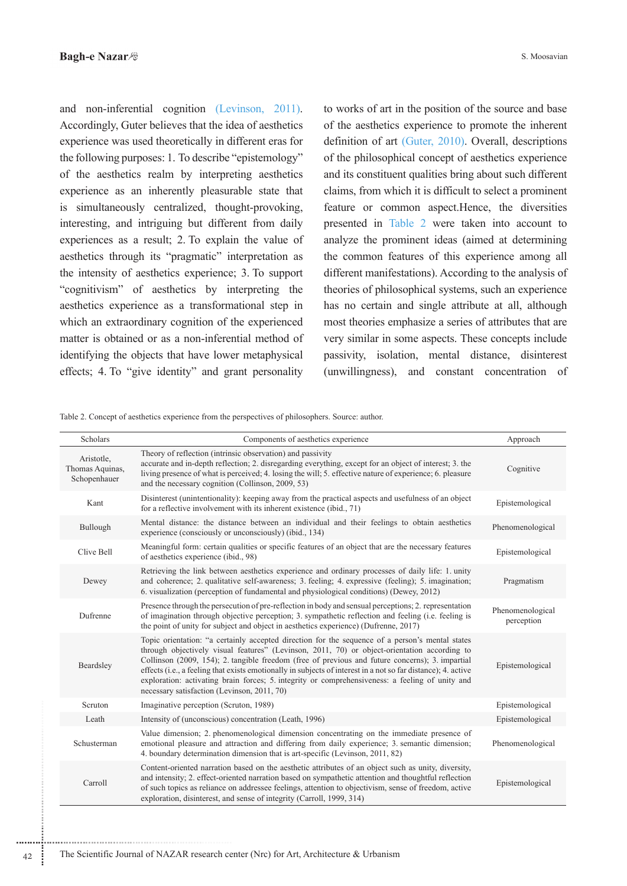and non-inferential cognition (Levinson, 2011). Accordingly, Guter believes that the idea of aesthetics experience was used theoretically in different eras for the following purposes: 1. To describe "epistemology" of the aesthetics realm by interpreting aesthetics experience as an inherently pleasurable state that is simultaneously centralized, thought-provoking, interesting, and intriguing but different from daily experiences as a result; 2. To explain the value of aesthetics through its "pragmatic" interpretation as the intensity of aesthetics experience; 3. To support "cognitivism" of aesthetics by interpreting the aesthetics experience as a transformational step in which an extraordinary cognition of the experienced matter is obtained or as a non-inferential method of identifying the objects that have lower metaphysical effects; 4. To "give identity" and grant personality

to works of art in the position of the source and base of the aesthetics experience to promote the inherent definition of art (Guter,  $2010$ ). Overall, descriptions of the philosophical concept of aesthetics experience and its constituent qualities bring about such different claims, from which it is difficult to select a prominent feature or common aspect.Hence, the diversities presented in Table 2 were taken into account to analyze the prominent ideas (aimed at determining the common features of this experience among all different manifestations). According to the analysis of theories of philosophical systems, such an experience has no certain and single attribute at all, although most theories emphasize a series of attributes that are very similar in some aspects. These concepts include passivity, isolation, mental distance, disinterest (unwillingness), and constant concentration of

Table 2. Concept of aesthetics experience from the perspectives of philosophers. Source: author.

| Scholars                                      | Components of aesthetics experience                                                                                                                                                                                                                                                                                                                                                                                                                                                                                                                                   | Approach                       |
|-----------------------------------------------|-----------------------------------------------------------------------------------------------------------------------------------------------------------------------------------------------------------------------------------------------------------------------------------------------------------------------------------------------------------------------------------------------------------------------------------------------------------------------------------------------------------------------------------------------------------------------|--------------------------------|
| Aristotle,<br>Thomas Aquinas,<br>Schopenhauer | Theory of reflection (intrinsic observation) and passivity<br>accurate and in-depth reflection; 2. disregarding everything, except for an object of interest; 3. the<br>living presence of what is perceived; 4. losing the will; 5. effective nature of experience; 6. pleasure<br>and the necessary cognition (Collinson, 2009, 53)                                                                                                                                                                                                                                 | Cognitive                      |
| Kant                                          | Disinterest (unintentionality): keeping away from the practical aspects and usefulness of an object<br>for a reflective involvement with its inherent existence (ibid., 71)                                                                                                                                                                                                                                                                                                                                                                                           | Epistemological                |
| Bullough                                      | Mental distance: the distance between an individual and their feelings to obtain aesthetics<br>experience (consciously or unconsciously) (ibid., 134)                                                                                                                                                                                                                                                                                                                                                                                                                 | Phenomenological               |
| Clive Bell                                    | Meaningful form: certain qualities or specific features of an object that are the necessary features<br>of aesthetics experience (ibid., 98)                                                                                                                                                                                                                                                                                                                                                                                                                          | Epistemological                |
| Dewey                                         | Retrieving the link between aesthetics experience and ordinary processes of daily life: 1. unity<br>and coherence; 2. qualitative self-awareness; 3. feeling; 4. expressive (feeling); 5. imagination;<br>6. visualization (perception of fundamental and physiological conditions) (Dewey, 2012)                                                                                                                                                                                                                                                                     | Pragmatism                     |
| Dufrenne                                      | Presence through the persecution of pre-reflection in body and sensual perceptions; 2. representation<br>of imagination through objective perception; 3. sympathetic reflection and feeling (i.e. feeling is<br>the point of unity for subject and object in aesthetics experience) (Dufrenne, 2017)                                                                                                                                                                                                                                                                  | Phenomenological<br>perception |
| Beardsley                                     | Topic orientation: "a certainly accepted direction for the sequence of a person's mental states<br>through objectively visual features" (Levinson, 2011, 70) or object-orientation according to<br>Collinson (2009, 154); 2. tangible freedom (free of previous and future concerns); 3. impartial<br>effects (i.e., a feeling that exists emotionally in subjects of interest in a not so far distance); 4. active<br>exploration: activating brain forces; 5. integrity or comprehensiveness: a feeling of unity and<br>necessary satisfaction (Levinson, 2011, 70) | Epistemological                |
| Scruton                                       | Imaginative perception (Scruton, 1989)                                                                                                                                                                                                                                                                                                                                                                                                                                                                                                                                | Epistemological                |
| Leath                                         | Intensity of (unconscious) concentration (Leath, 1996)                                                                                                                                                                                                                                                                                                                                                                                                                                                                                                                | Epistemological                |
| Schusterman                                   | Value dimension; 2. phenomenological dimension concentrating on the immediate presence of<br>emotional pleasure and attraction and differing from daily experience; 3. semantic dimension;<br>4. boundary determination dimension that is art-specific (Levinson, 2011, 82)                                                                                                                                                                                                                                                                                           | Phenomenological               |
| Carroll                                       | Content-oriented narration based on the aesthetic attributes of an object such as unity, diversity,<br>and intensity; 2. effect-oriented narration based on sympathetic attention and thoughtful reflection<br>of such topics as reliance on addressee feelings, attention to objectivism, sense of freedom, active<br>exploration, disinterest, and sense of integrity (Carroll, 1999, 314)                                                                                                                                                                          | Epistemological                |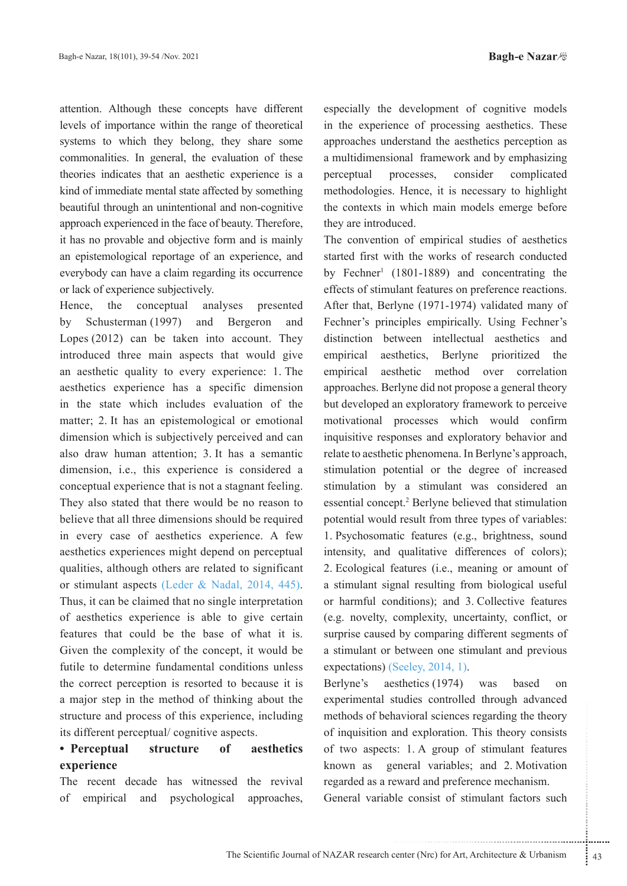attention. Although these concepts have different levels of importance within the range of theoretical systems to which they belong, they share some commonalities. In general, the evaluation of these theories indicates that an aesthetic experience is a kind of immediate mental state affected by something beautiful through an unintentional and non-cognitive approach experienced in the face of beauty. Therefore, it has no provable and objective form and is mainly an epistemological reportage of an experience, and everybody can have a claim regarding its occurrence or lack of experience subjectively.

Hence, the conceptual analyses presented by Schusterman (1997) and Bergeron and Lopes  $(2012)$  can be taken into account. They introduced three main aspects that would give an aesthetic quality to every experience: 1. The aesthetics experience has a specific dimension in the state which includes evaluation of the matter; 2. It has an epistemological or emotional dimension which is subjectively perceived and can also draw human attention; 3. It has a semantic dimension, i.e., this experience is considered a conceptual experience that is not a stagnant feeling. They also stated that there would be no reason to believe that all three dimensions should be required in every case of aesthetics experience. A few aesthetics experiences might depend on perceptual qualities, although others are related to significant or stimulant aspects (Leder & Nadal, 2014, 445). Thus, it can be claimed that no single interpretation of aesthetics experience is able to give certain features that could be the base of what it is. Given the complexity of the concept, it would be futile to determine fundamental conditions unless the correct perception is resorted to because it is a major step in the method of thinking about the structure and process of this experience, including its different perceptual/ cognitive aspects.

# • Perceptual structure of aesthetics **experience**

The recent decade has witnessed the revival of empirical and psychological approaches,

especially the development of cognitive models in the experience of processing aesthetics. These approaches understand the aesthetics perception as a multidimensional framework and by emphasizing perceptual processes, consider complicated methodologies. Hence, it is necessary to highlight the contexts in which main models emerge before they are introduced.

The convention of empirical studies of aesthetics started first with the works of research conducted by Fechner<sup>1</sup> (1801-1889) and concentrating the effects of stimulant features on preference reactions. After that, Berlyne (1971-1974) validated many of Fechner's principles empirically. Using Fechner's distinction between intellectual aesthetics and empirical aesthetics, Berlyne prioritized the empirical aesthetic method over correlation approaches. Berlyne did not propose a general theory but developed an exploratory framework to perceive motivational processes which would confirm inquisitive responses and exploratory behavior and relate to aesthetic phenomena. In Berlyne's approach, stimulation potential or the degree of increased stimulation by a stimulant was considered an essential concept.<sup>2</sup> Berlyne believed that stimulation potential would result from three types of variables: 1. Psychosomatic features (e.g., brightness, sound intensity, and qualitative differences of colors); 2. Ecological features (i.e., meaning or amount of a stimulant signal resulting from biological useful or harmful conditions); and 3. Collective features (e.g. novelty, complexity, uncertainty, conflict, or surprise caused by comparing different segments of a stimulant or between one stimulant and previous  $expectations)$  (Seeley, 2014, 1).

The contract of strategies in the correction of exploration. This theory consists<br>  $\therefore$  1. A group of stimulant features<br>
eneral variables; and 2. Motivation<br>
evard and preference mechanism.<br>
le consist of stimulant facto Berlyne's aesthetics (1974) was based on experimental studies controlled through advanced methods of behavioral sciences regarding the theory of inquisition and exploration. This theory consists of two aspects: 1. A group of stimulant features known as general variables; and 2. Motivation regarded as a reward and preference mechanism.

General variable consist of stimulant factors such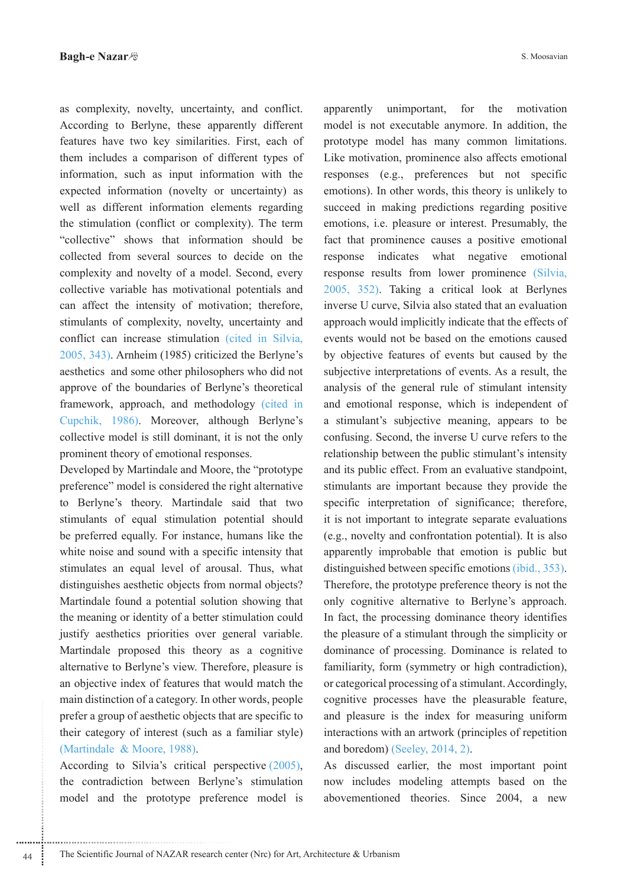as complexity, novelty, uncertainty, and conflict. According to Berlyne, these apparently different features have two key similarities. First, each of them includes a comparison of different types of information, such as input information with the expected information (novelty or uncertainty) as well as different information elements regarding the stimulation (conflict or complexity). The term "collective" shows that information should be collected from several sources to decide on the complexity and novelty of a model. Second, every collective variable has motivational potentials and can affect the intensity of motivation; therefore, stimulants of complexity, novelty, uncertainty and conflict can increase stimulation (cited in Silvia,  $2005, 343$ ). Arnheim  $(1985)$  criticized the Berlyne's aesthetics and some other philosophers who did not approve of the boundaries of Berlyne's theoretical framework, approach, and methodology (cited in Cupchik, 1986). Moreover, although Berlyne's collective model is still dominant, it is not the only prominent theory of emotional responses.

Developed by Martindale and Moore, the "prototype" preference" model is considered the right alternative to Berlyne's theory. Martindale said that two stimulants of equal stimulation potential should be preferred equally. For instance, humans like the white noise and sound with a specific intensity that stimulates an equal level of arousal. Thus, what distinguishes aesthetic objects from normal objects? Martindale found a potential solution showing that the meaning or identity of a better stimulation could justify aesthetics priorities over general variable. Martindale proposed this theory as a cognitive alternative to Berlyne's view. Therefore, pleasure is an objective index of features that would match the main distinction of a category. In other words, people prefer a group of aesthetic objects that are specific to their category of interest (such as a familiar style) (Martindale  $& Moore, 1988$ ).

According to Silvia's critical perspective  $(2005)$ , the contradiction between Berlyne's stimulation model and the prototype preference model is apparently unimportant, for the motivation model is not executable anymore. In addition, the prototype model has many common limitations. Like motivation, prominence also affects emotional responses (e.g., preferences but not specific emotions). In other words, this theory is unlikely to succeed in making predictions regarding positive emotions, i.e. pleasure or interest. Presumably, the fact that prominence causes a positive emotional response indicates what negative emotional response results from lower prominence (Silvia,  $2005$ ,  $352$ ). Taking a critical look at Berlynes inverse U curve, Silvia also stated that an evaluation approach would implicitly indicate that the effects of events would not be based on the emotions caused by objective features of events but caused by the subjective interpretations of events. As a result, the analysis of the general rule of stimulant intensity and emotional response, which is independent of a stimulant's subjective meaning, appears to be confusing. Second, the inverse U curve refers to the relationship between the public stimulant's intensity and its public effect. From an evaluative standpoint, stimulants are important because they provide the specific interpretation of significance; therefore, it is not important to integrate separate evaluations  $(e.g., novelty and confrontation potential). It is also$ apparently improbable that emotion is public but distinguished between specific emotions *(ibid., 353)*. Therefore, the prototype preference theory is not the only cognitive alternative to Berlyne's approach. In fact, the processing dominance theory identifies the pleasure of a stimulant through the simplicity or dominance of processing. Dominance is related to familiarity, form (symmetry or high contradiction), or categorical processing of a stimulant. Accordingly, cognitive processes have the pleasurable feature, and pleasure is the index for measuring uniform interactions with an artwork (principles of repetition and boredom) (Seeley,  $2014$ ,  $2$ ).

As discussed earlier, the most important point now includes modeling attempts based on the abovementioned theories. Since 2004, a new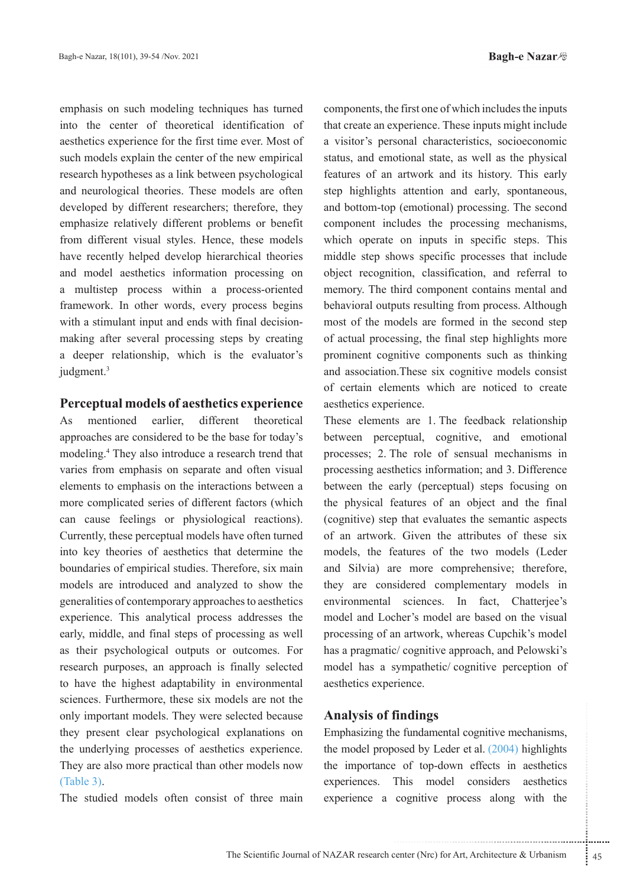**Bagh-e Nazar** 

emphasis on such modeling techniques has turned into the center of theoretical identification of aesthetics experience for the first time ever. Most of such models explain the center of the new empirical research hypotheses as a link between psychological and neurological theories. These models are often developed by different researchers; therefore, they emphasize relatively different problems or benefit from different visual styles. Hence, these models have recently helped develop hierarchical theories and model aesthetics information processing on a multistep process within a process-oriented framework. In other words, every process begins making after several processing steps by creating with a stimulant input and ends with final decisiona deeper relationship, which is the evaluator's judgment.<sup>3</sup>

### **Perceptual models of aesthetics experience**

As mentioned earlier, different theoretical approaches are considered to be the base for today's modeling.<sup>4</sup> They also introduce a research trend that varies from emphasis on separate and often visual elements to emphasis on the interactions between a more complicated series of different factors (which can cause feelings or physiological reactions). Currently, these perceptual models have often turned into key theories of aesthetics that determine the boundaries of empirical studies. Therefore, six main models are introduced and analyzed to show the generalities of contemporary approaches to aesthetics experience. This analytical process addresses the early, middle, and final steps of processing as well as their psychological outputs or outcomes. For research purposes, an approach is finally selected to have the highest adaptability in environmental sciences. Furthermore, these six models are not the only important models. They were selected because they present clear psychological explanations on the underlying processes of aesthetics experience. They are also more practical than other models now  $(Table 3).$ 

The studied models often consist of three main

components, the first one of which includes the inputs that create an experience. These inputs might include a visitor's personal characteristics, socioeconomic status, and emotional state, as well as the physical features of an artwork and its history. This early step highlights attention and early, spontaneous, and bottom-top (emotional) processing. The second component includes the processing mechanisms, which operate on inputs in specific steps. This middle step shows specific processes that include object recognition, classification, and referral to memory. The third component contains mental and behavioral outputs resulting from process. Although most of the models are formed in the second step of actual processing, the final step highlights more prominent cognitive components such as thinking and association. These six cognitive models consist of certain elements which are noticed to create aesthetics experience.

These elements are 1. The feedback relationship between perceptual, cognitive, and emotional processes; 2. The role of sensual mechanisms in processing aesthetics information; and 3. Difference between the early (perceptual) steps focusing on the physical features of an object and the final (cognitive) step that evaluates the semantic aspects of an artwork. Given the attributes of these six models, the features of the two models (Leder and Silvia) are more comprehensive; therefore, they are considered complementary models in environmental sciences. In fact, Chatterjee's model and Locher's model are based on the visual processing of an artwork, whereas Cupchik's model has a pragmatic/ cognitive approach, and Pelowski's model has a sympathetic/ cognitive perception of aesthetics experience.

### **findings of Analysis**

Findings<br>
e fundamental cognitive mechanisms,<br>
osed by Leder et al. (2004) highlights<br>
: of top-down effects in aesthetics<br>
This model considers aesthetics<br>
cognitive process along with the<br>
enter (Nrc) for Art, Architectu Emphasizing the fundamental cognitive mechanisms, the model proposed by Leder et al.  $(2004)$  highlights the importance of top-down effects in aesthetics experiences. This model considers aesthetics experience a cognitive process along with the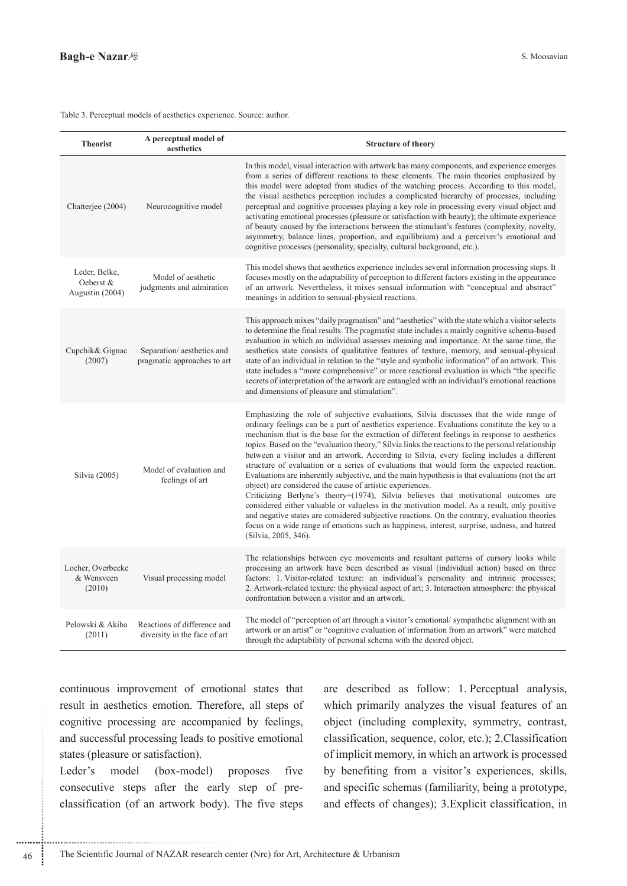#### Table 3. Perceptual models of aesthetics experience. Source: author.

| <b>Theorist</b>                               | A perceptual model of<br>aesthetics                         | <b>Structure of theory</b>                                                                                                                                                                                                                                                                                                                                                                                                                                                                                                                                                                                                                                                                                                                                                                                                                                                                                                                                                                                                                                                                                                                                              |
|-----------------------------------------------|-------------------------------------------------------------|-------------------------------------------------------------------------------------------------------------------------------------------------------------------------------------------------------------------------------------------------------------------------------------------------------------------------------------------------------------------------------------------------------------------------------------------------------------------------------------------------------------------------------------------------------------------------------------------------------------------------------------------------------------------------------------------------------------------------------------------------------------------------------------------------------------------------------------------------------------------------------------------------------------------------------------------------------------------------------------------------------------------------------------------------------------------------------------------------------------------------------------------------------------------------|
| Chatterjee (2004)                             | Neurocognitive model                                        | In this model, visual interaction with artwork has many components, and experience emerges<br>from a series of different reactions to these elements. The main theories emphasized by<br>this model were adopted from studies of the watching process. According to this model,<br>the visual aesthetics perception includes a complicated hierarchy of processes, including<br>perceptual and cognitive processes playing a key role in processing every visual object and<br>activating emotional processes (pleasure or satisfaction with beauty); the ultimate experience<br>of beauty caused by the interactions between the stimulant's features (complexity, novelty,<br>asymmetry, balance lines, proportion, and equilibrium) and a perceiver's emotional and<br>cognitive processes (personality, specialty, cultural background, etc.).                                                                                                                                                                                                                                                                                                                      |
| Leder, Belke,<br>Oeberst &<br>Augustin (2004) | Model of aesthetic<br>judgments and admiration              | This model shows that aesthetics experience includes several information processing steps. It<br>focuses mostly on the adaptability of perception to different factors existing in the appearance<br>of an artwork. Nevertheless, it mixes sensual information with "conceptual and abstract"<br>meanings in addition to sensual-physical reactions.                                                                                                                                                                                                                                                                                                                                                                                                                                                                                                                                                                                                                                                                                                                                                                                                                    |
| Cupchik& Gignac<br>(2007)                     | Separation/aesthetics and<br>pragmatic approaches to art    | This approach mixes "daily pragmatism" and "aesthetics" with the state which a visitor selects<br>to determine the final results. The pragmatist state includes a mainly cognitive schema-based<br>evaluation in which an individual assesses meaning and importance. At the same time, the<br>aesthetics state consists of qualitative features of texture, memory, and sensual-physical<br>state of an individual in relation to the "style and symbolic information" of an artwork. This<br>state includes a "more comprehensive" or more reactional evaluation in which "the specific<br>secrets of interpretation of the artwork are entangled with an individual's emotional reactions<br>and dimensions of pleasure and stimulation".                                                                                                                                                                                                                                                                                                                                                                                                                            |
| Silvia (2005)                                 | Model of evaluation and<br>feelings of art                  | Emphasizing the role of subjective evaluations, Silvia discusses that the wide range of<br>ordinary feelings can be a part of aesthetics experience. Evaluations constitute the key to a<br>mechanism that is the base for the extraction of different feelings in response to aesthetics<br>topics. Based on the "evaluation theory," Silvia links the reactions to the personal relationship<br>between a visitor and an artwork. According to Silvia, every feeling includes a different<br>structure of evaluation or a series of evaluations that would form the expected reaction.<br>Evaluations are inherently subjective, and the main hypothesis is that evaluations (not the art<br>object) are considered the cause of artistic experiences.<br>Criticizing Berlyne's theory+(1974), Silvia believes that motivational outcomes are<br>considered either valuable or valueless in the motivation model. As a result, only positive<br>and negative states are considered subjective reactions. On the contrary, evaluation theories<br>focus on a wide range of emotions such as happiness, interest, surprise, sadness, and hatred<br>(Silvia, 2005, 346). |
| Locher, Overbeeke<br>& Wensveen<br>(2010)     | Visual processing model                                     | The relationships between eye movements and resultant patterns of cursory looks while<br>processing an artwork have been described as visual (individual action) based on three<br>factors: 1. Visitor-related texture: an individual's personality and intrinsic processes;<br>2. Artwork-related texture: the physical aspect of art; 3. Interaction atmosphere: the physical<br>confrontation between a visitor and an artwork.                                                                                                                                                                                                                                                                                                                                                                                                                                                                                                                                                                                                                                                                                                                                      |
| Pelowski & Akiba<br>(2011)                    | Reactions of difference and<br>diversity in the face of art | The model of "perception of art through a visitor's emotional/sympathetic alignment with an<br>artwork or an artist" or "cognitive evaluation of information from an artwork" were matched<br>through the adaptability of personal schema with the desired object.                                                                                                                                                                                                                                                                                                                                                                                                                                                                                                                                                                                                                                                                                                                                                                                                                                                                                                      |

continuous improvement of emotional states that result in aesthetics emotion. Therefore, all steps of cognitive processing are accompanied by feelings, and successful processing leads to positive emotional states (pleasure or satisfaction).

Leder's model (box-model) proposes five classification (of an artwork body). The five steps consecutive steps after the early step of preare described as follow: 1. Perceptual analysis, which primarily analyzes the visual features of an object (including complexity, symmetry, contrast, classification, sequence, color, etc.); 2.Classification of implicit memory, in which an artwork is processed by benefiting from a visitor's experiences, skills, and specific schemas (familiarity, being a prototype, and effects of changes); 3. Explicit classification, in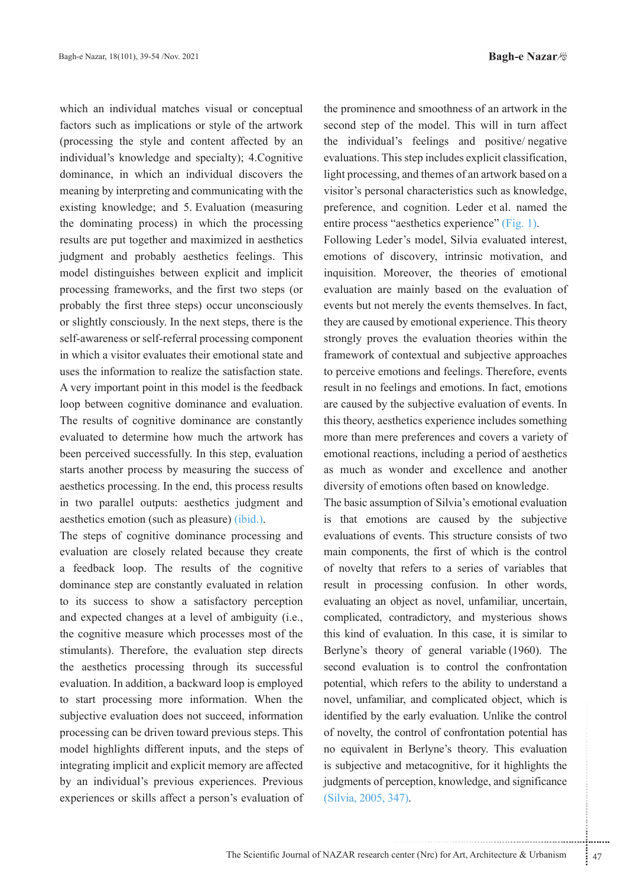which an individual matches visual or conceptual factors such as implications or style of the artwork (processing the style and content affected by an individual's knowledge and specialty); 4. Cognitive dominance, in which an individual discovers the meaning by interpreting and communicating with the existing knowledge; and 5. Evaluation (measuring the dominating process) in which the processing results are put together and maximized in aesthetics judgment and probably aesthetics feelings. This model distinguishes between explicit and implicit processing frameworks, and the first two steps (or probably the first three steps) occur unconsciously or slightly consciously. In the next steps, there is the self-awareness or self-referral processing component in which a visitor evaluates their emotional state and uses the information to realize the satisfaction state. A very important point in this model is the feedback loop between cognitive dominance and evaluation. The results of cognitive dominance are constantly evaluated to determine how much the artwork has been perceived successfully. In this step, evaluation starts another process by measuring the success of aesthetics processing. In the end, this process results in two parallel outputs: aesthetics judgment and aesthetics emotion (such as pleasure) (ibid.).

The steps of cognitive dominance processing and evaluation are closely related because they create a feedback loop. The results of the cognitive dominance step are constantly evaluated in relation to its success to show a satisfactory perception and expected changes at a level of ambiguity (i.e., the cognitive measure which processes most of the stimulants). Therefore, the evaluation step directs the aesthetics processing through its successful evaluation. In addition, a backward loop is employed to start processing more information. When the subjective evaluation does not succeed, information processing can be driven toward previous steps. This model highlights different inputs, and the steps of integrating implicit and explicit memory are affected by an individual's previous experiences. Previous experiences or skills affect a person's evaluation of the prominence and smoothness of an artwork in the second step of the model. This will in turn affect the individual's feelings and positive negative evaluations. This step includes explicit classification, light processing, and themes of an artwork based on a visitor's personal characteristics such as knowledge, preference, and cognition. Leder et al. named the entire process "aesthetics experience" (Fig. 1).

Following Leder's model, Silvia evaluated interest, emotions of discovery, intrinsic motivation, and inquisition. Moreover, the theories of emotional evaluation are mainly based on the evaluation of events but not merely the events themselves. In fact, they are caused by emotional experience. This theory strongly proves the evaluation theories within the framework of contextual and subjective approaches to perceive emotions and feelings. Therefore, events result in no feelings and emotions. In fact, emotions are caused by the subjective evaluation of events. In this theory, aesthetics experience includes something more than mere preferences and covers a variety of emotional reactions, including a period of aesthetics as much as wonder and excellence and another diversity of emotions often based on knowledge.

..................................................................... ....... ........ ........... ...... ....... ........ .......... ........... The basic assumption of Silvia's emotional evaluation is that emotions are caused by the subjective evaluations of events. This structure consists of two main components, the first of which is the control of novelty that refers to a series of variables that result in processing confusion. In other words, evaluating an object as novel, unfamiliar, uncertain, complicated, contradictory, and mysterious shows this kind of evaluation. In this case, it is similar to Berlyne's theory of general variable (1960). The second evaluation is to control the confrontation potential, which refers to the ability to understand a novel, unfamiliar, and complicated object, which is identified by the early evaluation. Unlike the control of novelty, the control of confrontation potential has no equivalent in Berlyne's theory. This evaluation is subjective and metacognitive, for it highlights the judgments of perception, knowledge, and significance (Silvia, 2005, 347).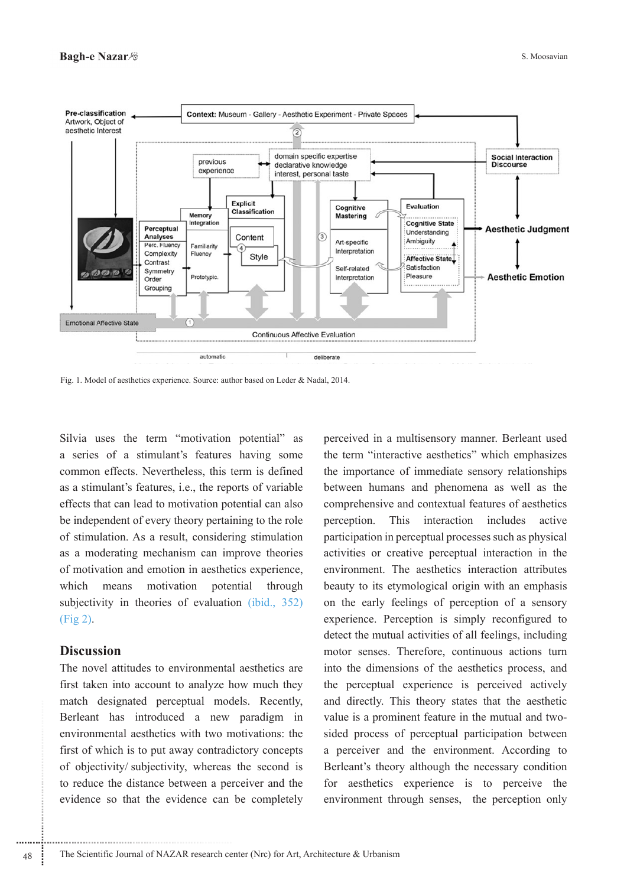

Fig. 1. Model of aesthetics experience. Source: author based on Leder & Nadal, 2014.

Silvia uses the term "motivation potential" as a series of a stimulant's features having some common effects. Nevertheless, this term is defined as a stimulant's features, i.e., the reports of variable effects that can lead to motivation potential can also be independent of every theory pertaining to the role of stimulation. As a result, considering stimulation as a moderating mechanism can improve theories of motivation and emotion in aesthetics experience, means motivation potential which through subjectivity in theories of evaluation (ibid., 352)  $(Fig 2)$ .

### **Discussion**

The novel attitudes to environmental aesthetics are first taken into account to analyze how much they match designated perceptual models. Recently, Berleant has introduced a new paradigm in environmental aesthetics with two motivations: the first of which is to put away contradictory concepts of objectivity/subjectivity, whereas the second is to reduce the distance between a perceiver and the evidence so that the evidence can be completely perceived in a multisensory manner. Berleant used the term "interactive aesthetics" which emphasizes the importance of immediate sensory relationships between humans and phenomena as well as the comprehensive and contextual features of aesthetics perception. This interaction includes active participation in perceptual processes such as physical activities or creative perceptual interaction in the environment. The aesthetics interaction attributes beauty to its etymological origin with an emphasis on the early feelings of perception of a sensory experience. Perception is simply reconfigured to detect the mutual activities of all feelings, including motor senses. Therefore, continuous actions turn into the dimensions of the aesthetics process, and the perceptual experience is perceived actively and directly. This theory states that the aesthetic value is a prominent feature in the mutual and twosided process of perceptual participation between a perceiver and the environment. According to Berleant's theory although the necessary condition for aesthetics experience is to perceive the environment through senses, the perception only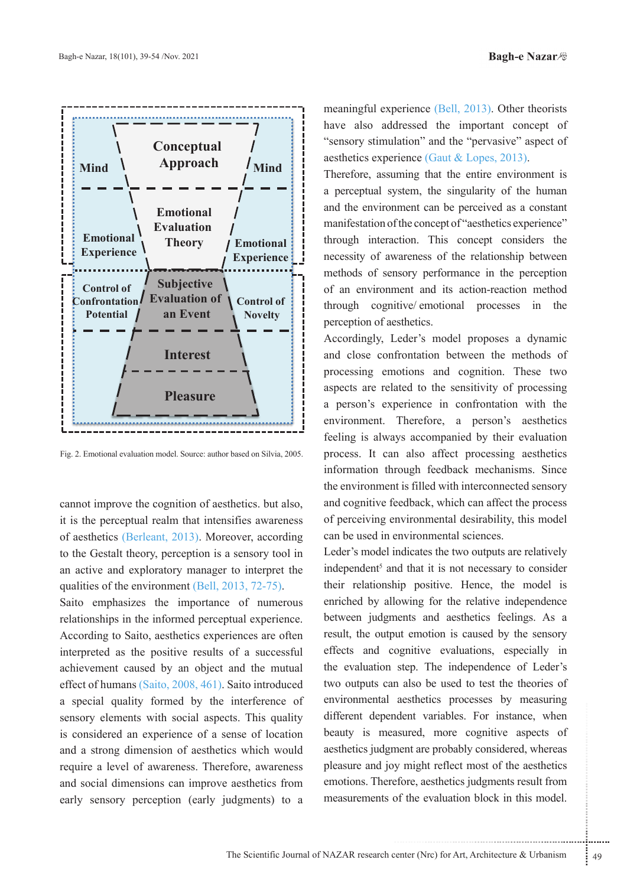

Fig. 2. Emotional evaluation model. Source: author based on Silvia, 2005.

cannot improve the cognition of aesthetics. but also, it is the perceptual realm that intensifies awareness of aesthetics (Berleant, 2013). Moreover, according to the Gestalt theory, perception is a sensory tool in an active and exploratory manager to interpret the qualities of the environment  $(Bell, 2013, 72-75)$ .

Saito emphasizes the importance of numerous relationships in the informed perceptual experience. According to Saito, aesthetics experiences are often interpreted as the positive results of a successful achievement caused by an object and the mutual effect of humans (Saito, 2008, 461). Saito introduced a special quality formed by the interference of sensory elements with social aspects. This quality is considered an experience of a sense of location and a strong dimension of aesthetics which would require a level of awareness. Therefore, awareness and social dimensions can improve aesthetics from early sensory perception (early judgments) to a

meaningful experience (Bell, 2013). Other theorists have also addressed the important concept of " sensory stimulation" and the "pervasive" aspect of aesthetics experience (Gaut  $&$  Lopes, 2013).

Therefore, assuming that the entire environment is a perceptual system, the singularity of the human and the environment can be perceived as a constant manifestation of the concept of "aesthetics experience" through interaction. This concept considers the necessity of awareness of the relationship between methods of sensory performance in the perception of an environment and its action-reaction method through cognitive/emotional processes in the perception of aesthetics.

Accordingly, Leder's model proposes a dynamic and close confrontation between the methods of processing emotions and cognition. These two aspects are related to the sensitivity of processing a person's experience in confrontation with the environment. Therefore, a person's aesthetics feeling is always accompanied by their evaluation process. It can also affect processing aesthetics information through feedback mechanisms. Since the environment is filled with interconnected sensory and cognitive feedback, which can affect the process of perceiving environmental desirability, this model can be used in environmental sciences.

maturated protective the statements of the same state of ment are probably considered, whereas y might reflect most of the aesthetics sports of the evaluation block in this model. Leder's model indicates the two outputs are relatively independent<sup>5</sup> and that it is not necessary to consider their relationship positive. Hence, the model is enriched by allowing for the relative independence between judgments and aesthetics feelings. As a result, the output emotion is caused by the sensory effects and cognitive evaluations, especially in the evaluation step. The independence of Leder's two outputs can also be used to test the theories of environmental aesthetics processes by measuring different dependent variables. For instance, when beauty is measured, more cognitive aspects of aesthetics judgment are probably considered, whereas pleasure and joy might reflect most of the aesthetics emotions. Therefore, aesthetics judgments result from measurements of the evaluation block in this model.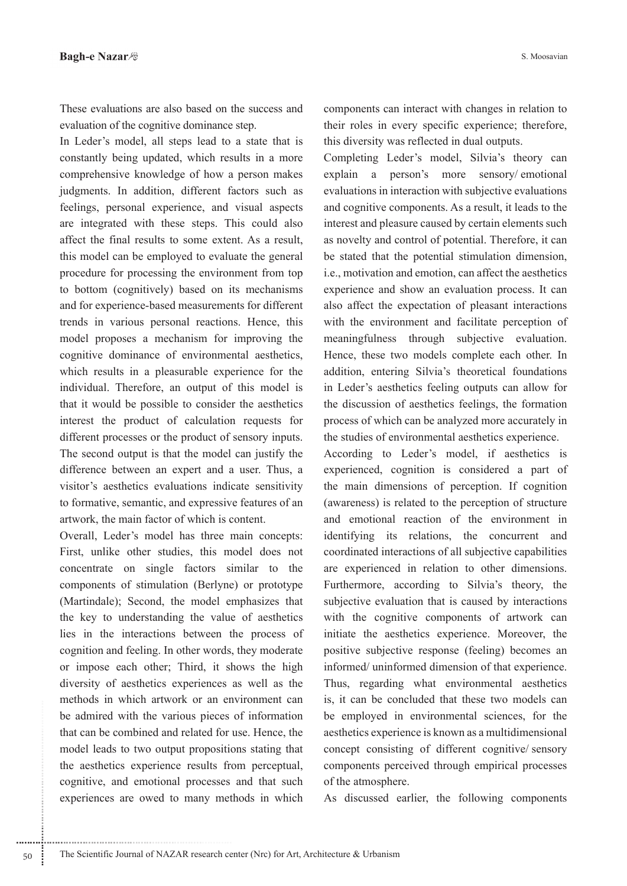These evaluations are also based on the success and evaluation of the cognitive dominance step.

In Leder's model, all steps lead to a state that is constantly being updated, which results in a more comprehensive knowledge of how a person makes judgments. In addition, different factors such as feelings, personal experience, and visual aspects are integrated with these steps. This could also affect the final results to some extent. As a result, this model can be employed to evaluate the general procedure for processing the environment from top to bottom (cognitively) based on its mechanisms and for experience-based measurements for different trends in various personal reactions. Hence, this model proposes a mechanism for improving the cognitive dominance of environmental aesthetics, which results in a pleasurable experience for the individual. Therefore, an output of this model is that it would be possible to consider the aesthetics interest the product of calculation requests for different processes or the product of sensory inputs. The second output is that the model can justify the difference between an expert and a user. Thus, a visitor's aesthetics evaluations indicate sensitivity to formative, semantic, and expressive features of an artwork, the main factor of which is content.

Overall, Leder's model has three main concepts: First, unlike other studies, this model does not concentrate on single factors similar to the components of stimulation (Berlyne) or prototype (Martindale); Second, the model emphasizes that the key to understanding the value of aesthetics lies in the interactions between the process of cognition and feeling. In other words, they moderate or impose each other; Third, it shows the high diversity of aesthetics experiences as well as the methods in which artwork or an environment can be admired with the various pieces of information that can be combined and related for use. Hence, the model leads to two output propositions stating that the aesthetics experience results from perceptual, cognitive, and emotional processes and that such experiences are owed to many methods in which components can interact with changes in relation to their roles in every specific experience; therefore, this diversity was reflected in dual outputs.

Completing Leder's model, Silvia's theory can explain a person's more sensory/emotional evaluations in interaction with subjective evaluations and cognitive components. As a result, it leads to the interest and pleasure caused by certain elements such as novelty and control of potential. Therefore, it can be stated that the potential stimulation dimension, i.e., motivation and emotion, can affect the aesthetics experience and show an evaluation process. It can also affect the expectation of pleasant interactions with the environment and facilitate perception of meaningfulness through subjective evaluation. Hence, these two models complete each other. In addition, entering Silvia's theoretical foundations in Leder's aesthetics feeling outputs can allow for the discussion of aesthetics feelings, the formation process of which can be analyzed more accurately in the studies of environmental aesthetics experience.

According to Leder's model, if aesthetics is experienced, cognition is considered a part of the main dimensions of perception. If cognition (awareness) is related to the perception of structure and emotional reaction of the environment in identifying its relations, the concurrent and coordinated interactions of all subjective capabilities are experienced in relation to other dimensions. Furthermore, according to Silvia's theory, the subjective evaluation that is caused by interactions with the cognitive components of artwork can initiate the aesthetics experience. Moreover, the positive subjective response (feeling) becomes an informed/uninformed dimension of that experience. Thus, regarding what environmental aesthetics is, it can be concluded that these two models can be employed in environmental sciences, for the aesthetics experience is known as a multidimensional concept consisting of different cognitive/sensory components perceived through empirical processes of the atmosphere.

As discussed earlier, the following components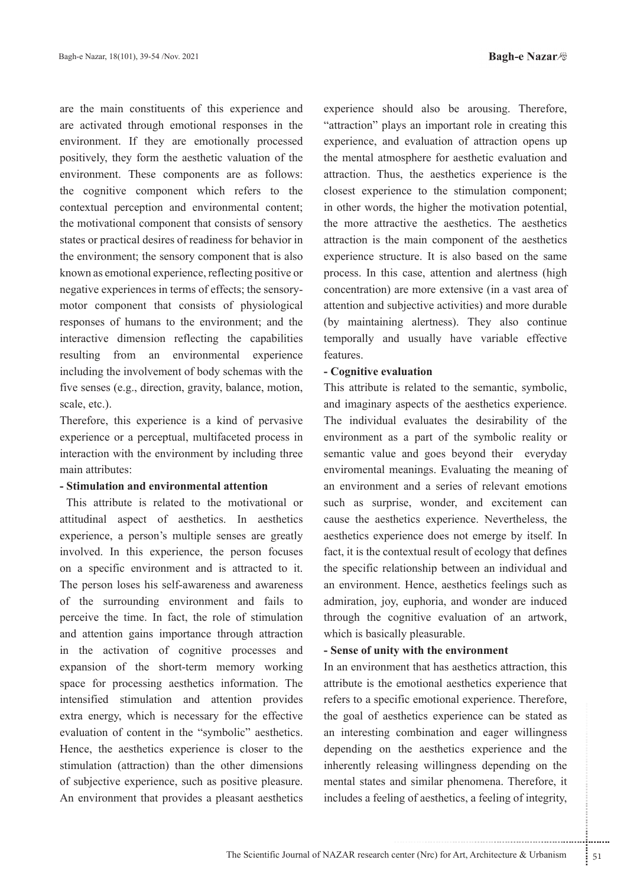are the main constituents of this experience and are activated through emotional responses in the environment. If they are emotionally processed positively, they form the aesthetic valuation of the environment. These components are as follows: the cognitive component which refers to the contextual perception and environmental content; the motivational component that consists of sensory states or practical desires of readiness for behavior in the environment; the sensory component that is also known as emotional experience, reflecting positive or motor component that consists of physiological negative experiences in terms of effects; the sensoryresponses of humans to the environment; and the interactive dimension reflecting the capabilities resulting from an environmental experience including the involvement of body schemas with the five senses (e.g., direction, gravity, balance, motion, scale, etc.).

Therefore, this experience is a kind of pervasive experience or a perceptual, multifaceted process in interaction with the environment by including three main attributes:

### **- Stimulation and environmental attention**

This attribute is related to the motivational or attitudinal aspect of aesthetics. In aesthetics experience, a person's multiple senses are greatly involved. In this experience, the person focuses on a specific environment and is attracted to it. The person loses his self-awareness and awareness of the surrounding environment and fails to perceive the time. In fact, the role of stimulation and attention gains importance through attraction in the activation of cognitive processes and expansion of the short-term memory working space for processing aesthetics information. The intensified stimulation and attention provides extra energy, which is necessary for the effective evaluation of content in the "symbolic" aesthetics. Hence, the aesthetics experience is closer to the stimulation (attraction) than the other dimensions of subjective experience, such as positive pleasure. An environment that provides a pleasant aesthetics

experience should also be arousing. Therefore, "attraction" plays an important role in creating this experience, and evaluation of attraction opens up the mental atmosphere for aesthetic evaluation and attraction. Thus, the aesthetics experience is the closest experience to the stimulation component; in other words, the higher the motivation potential, the more attractive the aesthetics. The aesthetics attraction is the main component of the aesthetics experience structure. It is also based on the same process. In this case, attention and alertness (high concentration) are more extensive (in a vast area of attention and subjective activities) and more durable (by maintaining alertness). They also continue temporally and usually have variable effective .features

### **- Cognitive evaluation**

This attribute is related to the semantic, symbolic, and imaginary aspects of the aesthetics experience. The individual evaluates the desirability of the environment as a part of the symbolic reality or semantic value and goes beyond their everyday enviromental meanings. Evaluating the meaning of an environment and a series of relevant emotions such as surprise, wonder, and excitement can cause the aesthetics experience. Nevertheless, the aesthetics experience does not emerge by itself. In fact, it is the contextual result of ecology that defines the specific relationship between an individual and an environment. Hence, aesthetics feelings such as admiration, joy, euphoria, and wonder are induced through the cognitive evaluation of an artwork, which is basically pleasurable.

## **- Sense of unity with the environment**

extracture in the presence can be stated as<br>
combination and eager willingness<br>
the aesthetics experience and the<br>
asing willingness depending on the<br>
and similar phenomena. Therefore, it<br>
ing of aesthetics, a feeling of i In an environment that has aesthetics attraction, this attribute is the emotional aesthetics experience that refers to a specific emotional experience. Therefore, the goal of aesthetics experience can be stated as an interesting combination and eager willingness depending on the aesthetics experience and the inherently releasing willingness depending on the mental states and similar phenomena. Therefore, it includes a feeling of aesthetics, a feeling of integrity,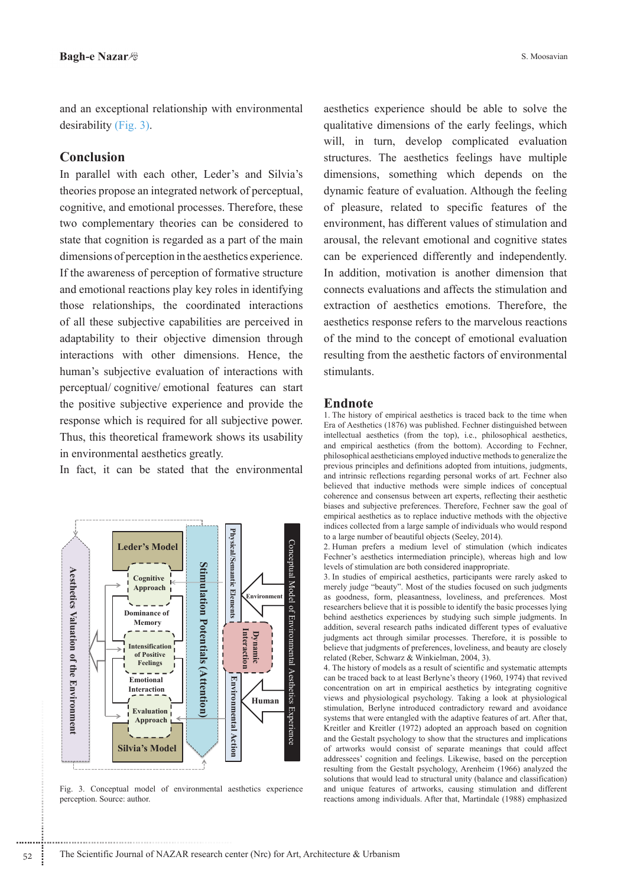and an exceptional relationship with environmental  $desirability (Fig. 3).$ 

# **Conclusion**

In parallel with each other, Leder's and Silvia's theories propose an integrated network of perceptual, cognitive, and emotional processes. Therefore, these two complementary theories can be considered to state that cognition is regarded as a part of the main dimensions of perception in the aesthetics experience. If the awareness of perception of formative structure and emotional reactions play key roles in identifying those relationships, the coordinated interactions of all these subjective capabilities are perceived in adaptability to their objective dimension through interactions with other dimensions. Hence, the human's subjective evaluation of interactions with perceptual/cognitive/emotional features can start the positive subjective experience and provide the response which is required for all subjective power. Thus, this theoretical framework shows its usability in environmental aesthetics greatly.

In fact, it can be stated that the environmental



Fig. 3. Conceptual model of environmental aesthetics experience perception. Source: author.

aesthetics experience should be able to solve the qualitative dimensions of the early feelings, which will, in turn, develop complicated evaluation structures. The aesthetics feelings have multiple dimensions, something which depends on the dynamic feature of evaluation. Although the feeling of pleasure, related to specific features of the environment, has different values of stimulation and arousal, the relevant emotional and cognitive states can be experienced differently and independently. In addition, motivation is another dimension that connects evaluations and affects the stimulation and extraction of aesthetics emotions. Therefore, the aesthetics response refers to the marvelous reactions of the mind to the concept of emotional evaluation resulting from the aesthetic factors of environmental .stimulants

#### **Endnote**

1. The history of empirical aesthetics is traced back to the time when Era of Aesthetics (1876) was published. Fechner distinguished between intellectual aesthetics (from the top), i.e., philosophical aesthetics, and empirical aesthetics (from the bottom). According to Fechner, philosophical aestheticians employed inductive methods to generalize the previous principles and definitions adopted from intuitions, judgments, and intrinsic reflections regarding personal works of art. Fechner also believed that inductive methods were simple indices of conceptual coherence and consensus between art experts, reflecting their aesthetic biases and subjective preferences. Therefore, Fechner saw the goal of empirical aesthetics as to replace inductive methods with the objective indices collected from a large sample of individuals who would respond to a large number of beautiful objects (Seeley, 2014).

2. Human prefers a medium level of stimulation (which indicates Fechner's aesthetics intermediation principle), whereas high and low levels of stimulation are both considered inappropriate.

3. In studies of empirical aesthetics, participants were rarely asked to merely judge "beauty". Most of the studies focused on such judgments as goodness, form, pleasantness, loveliness, and preferences. Most researchers believe that it is possible to identify the basic processes lying behind aesthetics experiences by studying such simple judgments. In addition, several research paths indicated different types of evaluative judgments act through similar processes. Therefore, it is possible to believe that judgments of preferences, loveliness, and beauty are closely related (Reber, Schwarz & Winkielman, 2004, 3).

4. The history of models as a result of scientific and systematic attempts can be traced back to at least Berlyne's theory (1960, 1974) that revived concentration on art in empirical aesthetics by integrating cognitive views and physiological psychology. Taking a look at physiological stimulation, Berlyne introduced contradictory reward and avoidance systems that were entangled with the adaptive features of art. After that, Kreitler and Kreitler (1972) adopted an approach based on cognition and the Gestalt psychology to show that the structures and implications of artworks would consist of separate meanings that could affect addressees' cognition and feelings. Likewise, based on the perception resulting from the Gestalt psychology, Arenheim (1966) analyzed the solutions that would lead to structural unity (balance and classification) and unique features of artworks, causing stimulation and different reactions among individuals. After that, Martindale (1988) emphasized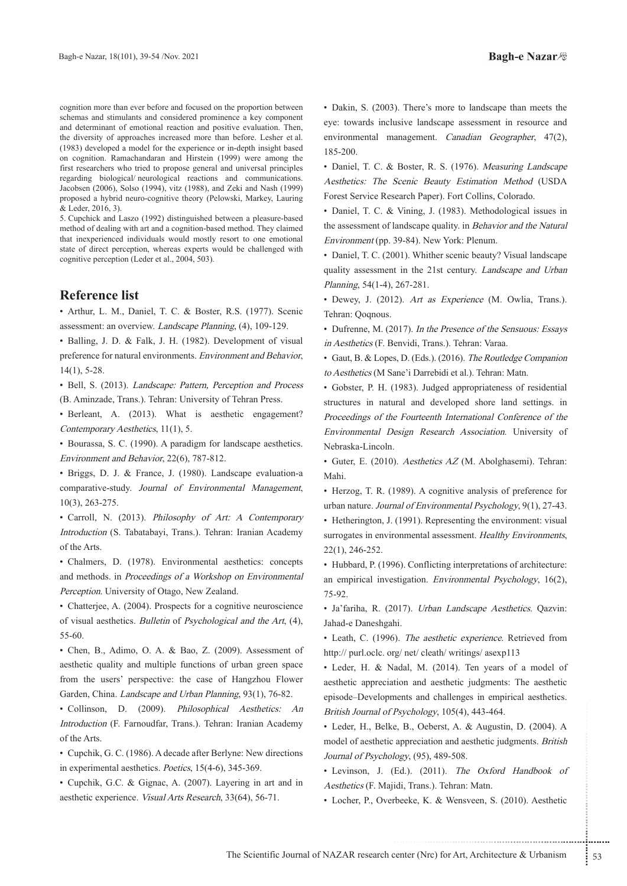cognition more than ever before and focused on the proportion between schemas and stimulants and considered prominence a key component and determinant of emotional reaction and positive evaluation. Then, the diversity of approaches increased more than before. Lesher et al.  $(1983)$  developed a model for the experience or in-depth insight based on cognition. Ramachandaran and Hirstein (1999) were among the first researchers who tried to propose general and universal principles regarding biological/neurological reactions and communications. Jacobsen (2006), Solso (1994), vitz (1988), and Zeki and Nash (1999) proposed a hybrid neuro-cognitive theory (Pelowski, Markey, Lauring & Leder, 2016, 3).

5. Cupchick and Laszo (1992) distinguished between a pleasure-based method of dealing with art and a cognition-based method. They claimed that inexperienced individuals would mostly resort to one emotional state of direct perception, whereas experts would be challenged with cognitive perception (Leder et al., 2004, 503).

### **Reference** list

• Arthur, L. M., Daniel, T. C. & Boster, R.S. (1977). Scenic assessment: an overview. Landscape Planning, (4), 109-129.

• Balling, J. D. & Falk, J. H. (1982). Development of visual preference for natural environments. Environment and Behavior,  $14(1), 5-28.$ 

• Bell, S. (2013). Landscape: Pattern, Perception and Process (B. Aminzade, Trans.). Tehran: University of Tehran Press.

• Berleant, A. (2013). What is aesthetic engagement? Contemporary Aesthetics, 11(1), 5.

• Bourassa, S. C. (1990). A paradigm for landscape aesthetics. Environment and Behavior, 22(6), 787-812.

• Briggs, D. J. & France, J. (1980). Landscape evaluation-a comparative-study. Journal of Environmental Management,  $10(3)$ , 263-275.

• Carroll, N. (2013). Philosophy of Art: A Contemporary Introduction (S. Tabatabayi, Trans.). Tehran: Iranian Academy of the Arts.

• Chalmers, D. (1978). Environmental aesthetics: concepts and methods. in Proceedings of a Workshop on Environmental Perception. University of Otago, New Zealand.

• Chatterjee, A. (2004). Prospects for a cognitive neuroscience of visual aesthetics. Bulletin of Psychological and the Art, (4), 55-60.

• Chen, B., Adimo, O. A. & Bao, Z. (2009). Assessment of aesthetic quality and multiple functions of urban green space from the users' perspective: the case of Hangzhou Flower Garden, China. Landscape and Urban Planning, 93(1), 76-82.

• Collinson, D. (2009). Philosophical Aesthetics: An Introduction (F. Farnoudfar, Trans.). Tehran: Iranian Academy of the Arts.

• Cupchik, G. C. (1986). A decade after Berlyne: New directions in experimental aesthetics. Poetics,  $15(4-6)$ ,  $345-369$ .

• Cupchik, G.C. & Gignac, A. (2007). Layering in art and in aesthetic experience. Visual Arts Research, 33(64), 56-71.

• Dakin, S. (2003). There's more to landscape than meets the eye: towards inclusive landscape assessment in resource and environmental management. Canadian Geographer, 47(2), 185-200.

• Daniel, T. C. & Boster, R. S. (1976). Measuring Landscape Aesthetics: The Scenic Beauty Estimation Method (USDA Forest Service Research Paper). Fort Collins, Colorado.

• Daniel, T. C. & Vining, J. (1983). Methodological issues in the assessment of landscape quality. in Behavior and the Natural Environment (pp. 39-84). New York: Plenum.

• Daniel, T. C. (2001). Whither scenic beauty? Visual landscape quality assessment in the 21st century. Landscape and Urban Planning, 54(1-4), 267-281.

• Dewey, J. (2012). Art as Experience (M. Owlia, Trans.). Tehran: Qoqnous.

• Dufrenne, M. (2017). In the Presence of the Sensuous: Essays in Aesthetics (F. Benvidi, Trans.). Tehran: Varaa.

Gaut, B. & Lopes, D. (Eds.). (2016). The Routledge Companion to Aesthetics (M Sane'i Darrebidi et al.). Tehran: Matn.

• Gobster, P. H. (1983). Judged appropriateness of residential structures in natural and developed shore land settings. in Proceedings of the Fourteenth International Conference of the Environmental Design Research Association. University of Nebraska-Lincoln.

• Guter, E. (2010). Aesthetics AZ (M. Abolghasemi). Tehran: .Mahi

• Herzog, T. R. (1989). A cognitive analysis of preference for urban nature. Journal of Environmental Psychology, 9(1), 27-43.

• Hetherington, J. (1991). Representing the environment: visual surrogates in environmental assessment. Healthy Environments,  $22(1)$ ,  $246-252$ .

• Hubbard, P. (1996). Conflicting interpretations of architecture: an empirical investigation. Environmental Psychology,  $16(2)$ , 75-92.

· Ja'fariha, R. (2017). *Urban Landscape Aesthetics*. Qazvin: Jahad-e Daneshgahi.

• Leath, C. (1996). The aesthetic experience. Retrieved from http:// purl.oclc. org/ net/ cleath/ writings/ asexp113

• Leder, H. & Nadal, M. (2014). Ten years of a model of aesthetic appreciation and aesthetic judgments: The aesthetic episode–Developments and challenges in empirical aesthetics. British Journal of Psychology, 105(4), 443-464.

Psychology, 105(4), 443-464.<br>
e., B., Oeberst, A. & Augustin, D. (2004). A<br>
appreciation and aesthetic judgments. *British*<br>
logy, (95), 489-508.<br>
Ed.). (2011). *The Oxford Handbook of*<br>
idi, Trans.). Tehran: Matn.<br>
beeke, • Leder, H., Belke, B., Oeberst, A. & Augustin, D. (2004). A model of aesthetic appreciation and aesthetic judgments. British Journal of Psychology, (95), 489-508.

• Levinson, J. (Ed.). (2011). The Oxford Handbook of Aesthetics (F. Majidi, Trans.). Tehran: Matn.

• Locher, P., Overbeeke, K. & Wensveen, S. (2010). Aesthetic